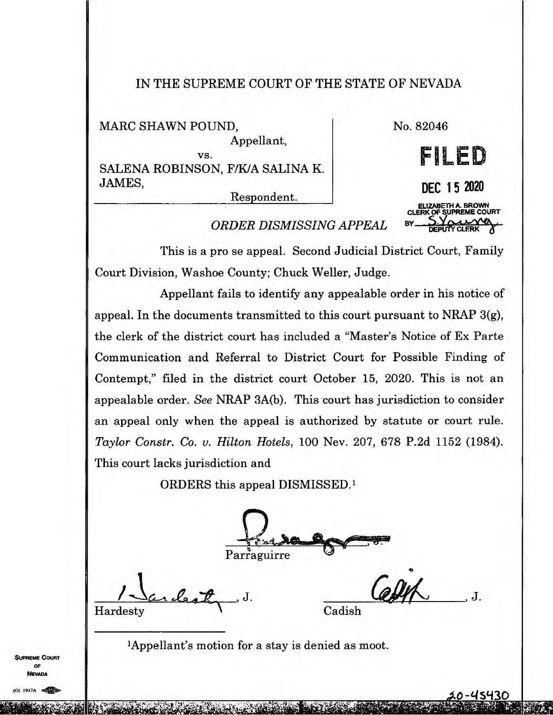## IN THE SUPREME COURT OF THE STATE OF NEVADA

MARC SHAWN POUND,

No. 82046

**VS.**  SALENA ROBINSON, F/K/A SALINA K. JAMES,

Respondent.

Appellant,

**DEC 1 5 2020 ELIZABETH A. BROWN CLERK OP SUPREME COURT** 

**FILE** 

 $B$ *BISMISSING APPEAL* 

This is a pro se appeal. Second Judicial District Court, Family Court Division, Washoe County; Chuck Weller, Judge.

Appellant fails to identify any appealable order in his notice of appeal. In the documents transmitted to this court pursuant to NRAP 3(g), the clerk of the district court has included a "Master's Notice of Ex Parte Communication and Referral to District Court for Possible Finding of Contempt," filed in the district court October 15, 2020. This is not an appealable order. *See* NRAP 3A(b). This court has jurisdiction to consider an appeal only when the appeal is authorized by statute or court rule. *Taylor Constr. Co. v. Hilton Hotels,* 100 Nev. 207, 678 P.2d 1152 (1984). This court lacks jurisdiction and

ORDERS this appeal DISMISSED.'

Parraguirre

Hardesty J. Gadish

 $J.$   $Q_2 M \sim J.$ 

"Appellant's motion for a stay is denied as moot.

**REME COURT** OF **VEVADA**